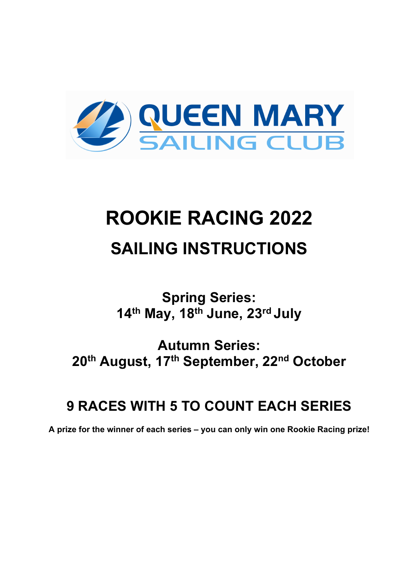

# **ROOKIE RACING 2022 SAILING INSTRUCTIONS**

**Spring Series: 14th May, 18th June, 23rd July**

**Autumn Series: 20th August, 17th September, 22nd October**

# **9 RACES WITH 5 TO COUNT EACH SERIES**

**A prize for the winner of each series – you can only win one Rookie Racing prize!**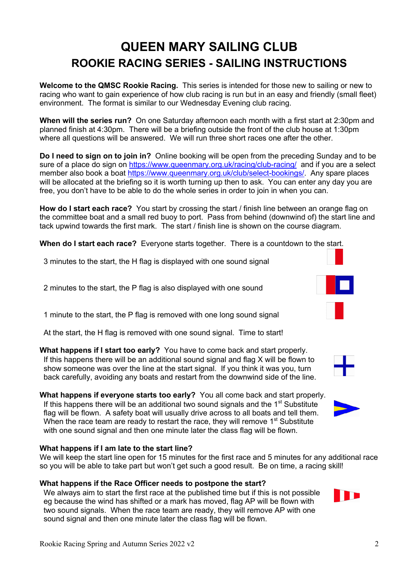# **QUEEN MARY SAILING CLUB ROOKIE RACING SERIES - SAILING INSTRUCTIONS**

**Welcome to the QMSC Rookie Racing.** This series is intended for those new to sailing or new to racing who want to gain experience of how club racing is run but in an easy and friendly (small fleet) environment. The format is similar to our Wednesday Evening club racing.

**When will the series run?** On one Saturday afternoon each month with a first start at 2:30pm and planned finish at 4:30pm. There will be a briefing outside the front of the club house at 1:30pm where all questions will be answered. We will run three short races one after the other.

**Do I need to sign on to join in?** Online booking will be open from the preceding Sunday and to be sure of a place do sign on https://www.gueenmary.org.uk/racing/club-racing/ and if you are a select member also book a boat https://www.queenmary.org.uk/club/select-bookings/. Any spare places will be allocated at the briefing so it is worth turning up then to ask. You can enter any day you are free, you don't have to be able to do the whole series in order to join in when you can.

**How do I start each race?** You start by crossing the start / finish line between an orange flag on the committee boat and a small red buoy to port. Pass from behind (downwind of) the start line and tack upwind towards the first mark. The start / finish line is shown on the course diagram.

**When do I start each race?** Everyone starts together. There is a countdown to the start.

3 minutes to the start, the H flag is displayed with one sound signal

2 minutes to the start, the P flag is also displayed with one sound

1 minute to the start, the P flag is removed with one long sound signal

At the start, the H flag is removed with one sound signal. Time to start!

**What happens if I start too early?** You have to come back and start properly. If this happens there will be an additional sound signal and flag X will be flown to show someone was over the line at the start signal. If you think it was you, turn back carefully, avoiding any boats and restart from the downwind side of the line.

**What happens if everyone starts too early?** You all come back and start properly. If this happens there will be an additional two sound signals and the  $1<sup>st</sup>$  Substitute flag will be flown. A safety boat will usually drive across to all boats and tell them. When the race team are ready to restart the race, they will remove 1<sup>st</sup> Substitute with one sound signal and then one minute later the class flag will be flown.

#### **What happens if I am late to the start line?**

We will keep the start line open for 15 minutes for the first race and 5 minutes for any additional race so you will be able to take part but won't get such a good result. Be on time, a racing skill!

#### **What happens if the Race Officer needs to postpone the start?**

We always aim to start the first race at the published time but if this is not possible eg because the wind has shifted or a mark has moved, flag AP will be flown with two sound signals. When the race team are ready, they will remove AP with one sound signal and then one minute later the class flag will be flown.





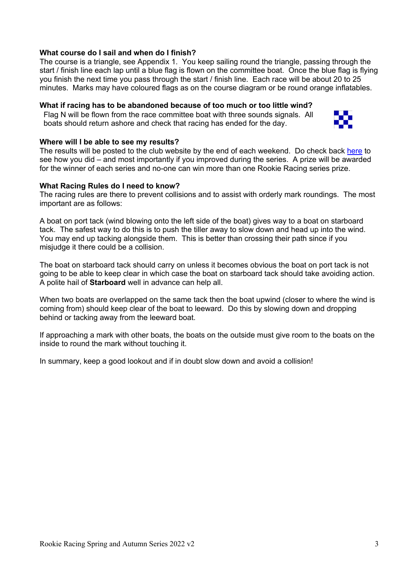#### **What course do I sail and when do I finish?**

The course is a triangle, see Appendix 1. You keep sailing round the triangle, passing through the start / finish line each lap until a blue flag is flown on the committee boat. Once the blue flag is flying you finish the next time you pass through the start / finish line. Each race will be about 20 to 25 minutes. Marks may have coloured flags as on the course diagram or be round orange inflatables.

#### **What if racing has to be abandoned because of too much or too little wind?**

Flag N will be flown from the race committee boat with three sounds signals. All boats should return ashore and check that racing has ended for the day.



#### **Where will I be able to see my results?**

The results will be posted to the club website by the end of each weekend. Do check back here to see how you did – and most importantly if you improved during the series. A prize will be awarded for the winner of each series and no-one can win more than one Rookie Racing series prize.

#### **What Racing Rules do I need to know?**

The racing rules are there to prevent collisions and to assist with orderly mark roundings. The most important are as follows:

A boat on port tack (wind blowing onto the left side of the boat) gives way to a boat on starboard tack. The safest way to do this is to push the tiller away to slow down and head up into the wind. You may end up tacking alongside them. This is better than crossing their path since if you misjudge it there could be a collision.

The boat on starboard tack should carry on unless it becomes obvious the boat on port tack is not going to be able to keep clear in which case the boat on starboard tack should take avoiding action. A polite hail of **Starboard** well in advance can help all.

When two boats are overlapped on the same tack then the boat upwind (closer to where the wind is coming from) should keep clear of the boat to leeward. Do this by slowing down and dropping behind or tacking away from the leeward boat.

If approaching a mark with other boats, the boats on the outside must give room to the boats on the inside to round the mark without touching it.

In summary, keep a good lookout and if in doubt slow down and avoid a collision!